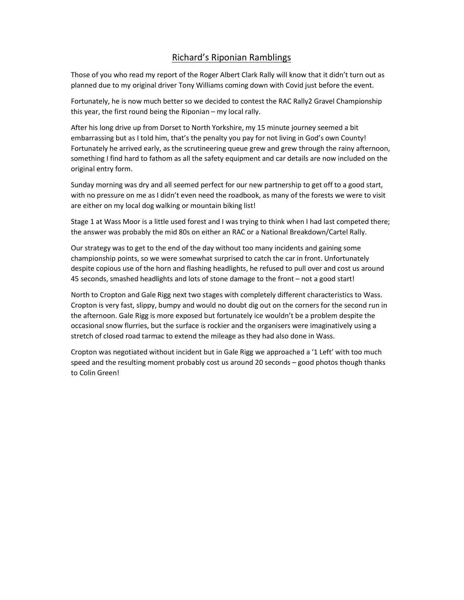## Richard's Riponian Ramblings

Those of you who read my report of the Roger Albert Clark Rally will know that it didn't turn out as planned due to my original driver Tony Williams coming down with Covid just before the event.

Fortunately, he is now much better so we decided to contest the RAC Rally2 Gravel Championship this year, the first round being the Riponian – my local rally.

After his long drive up from Dorset to North Yorkshire, my 15 minute journey seemed a bit embarrassing but as I told him, that's the penalty you pay for not living in God's own County! Fortunately he arrived early, as the scrutineering queue grew and grew through the rainy afternoon, something I find hard to fathom as all the safety equipment and car details are now included on the original entry form.

Sunday morning was dry and all seemed perfect for our new partnership to get off to a good start, with no pressure on me as I didn't even need the roadbook, as many of the forests we were to visit are either on my local dog walking or mountain biking list!

Stage 1 at Wass Moor is a little used forest and I was trying to think when I had last competed there; the answer was probably the mid 80s on either an RAC or a National Breakdown/Cartel Rally.

Our strategy was to get to the end of the day without too many incidents and gaining some championship points, so we were somewhat surprised to catch the car in front. Unfortunately despite copious use of the horn and flashing headlights, he refused to pull over and cost us around 45 seconds, smashed headlights and lots of stone damage to the front – not a good start!

North to Cropton and Gale Rigg next two stages with completely different characteristics to Wass. Cropton is very fast, slippy, bumpy and would no doubt dig out on the corners for the second run in the afternoon. Gale Rigg is more exposed but fortunately ice wouldn't be a problem despite the occasional snow flurries, but the surface is rockier and the organisers were imaginatively using a stretch of closed road tarmac to extend the mileage as they had also done in Wass.

Cropton was negotiated without incident but in Gale Rigg we approached a '1 Left' with too much speed and the resulting moment probably cost us around 20 seconds – good photos though thanks to Colin Green!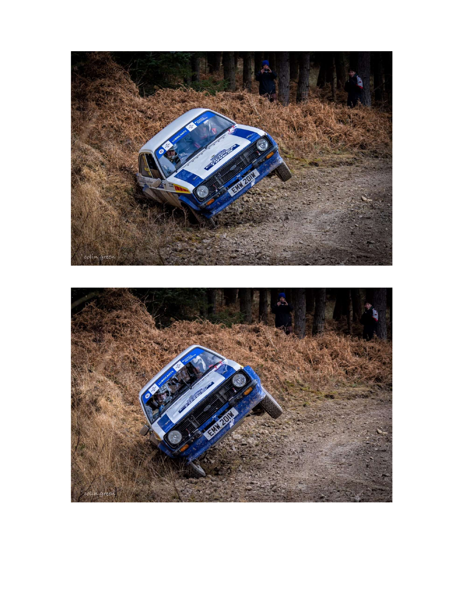